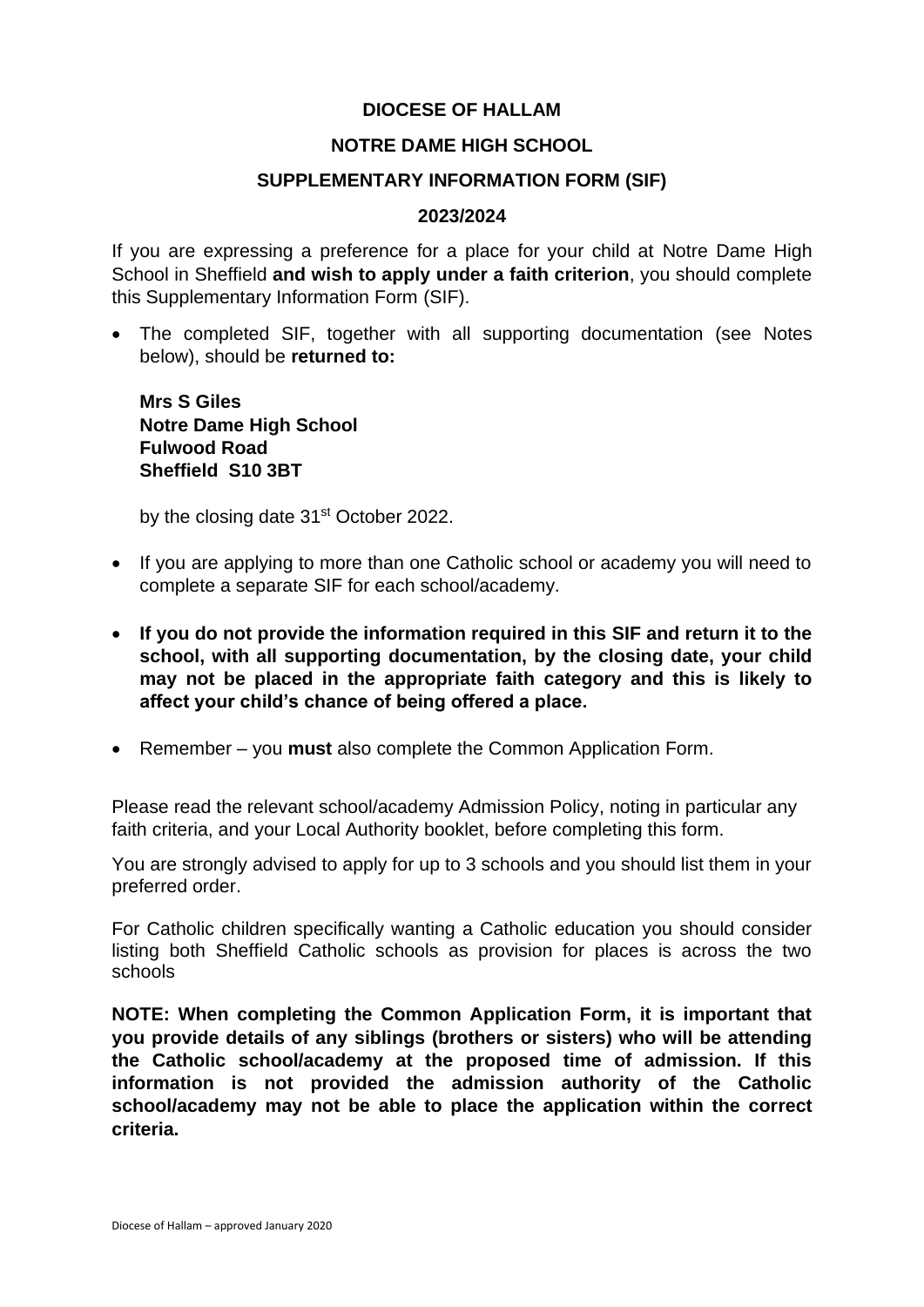#### **DIOCESE OF HALLAM**

#### **NOTRE DAME HIGH SCHOOL**

#### **SUPPLEMENTARY INFORMATION FORM (SIF)**

#### **2023/2024**

If you are expressing a preference for a place for your child at Notre Dame High School in Sheffield **and wish to apply under a faith criterion**, you should complete this Supplementary Information Form (SIF).

• The completed SIF, together with all supporting documentation (see Notes below), should be **returned to:**

**Mrs S Giles Notre Dame High School Fulwood Road Sheffield S10 3BT** 

by the closing date 31<sup>st</sup> October 2022.

- If you are applying to more than one Catholic school or academy you will need to complete a separate SIF for each school/academy.
- **If you do not provide the information required in this SIF and return it to the school, with all supporting documentation, by the closing date, your child may not be placed in the appropriate faith category and this is likely to affect your child's chance of being offered a place.**
- Remember you **must** also complete the Common Application Form.

Please read the relevant school/academy Admission Policy, noting in particular any faith criteria, and your Local Authority booklet, before completing this form.

You are strongly advised to apply for up to 3 schools and you should list them in your preferred order.

For Catholic children specifically wanting a Catholic education you should consider listing both Sheffield Catholic schools as provision for places is across the two schools

**NOTE: When completing the Common Application Form, it is important that you provide details of any siblings (brothers or sisters) who will be attending the Catholic school/academy at the proposed time of admission. If this information is not provided the admission authority of the Catholic school/academy may not be able to place the application within the correct criteria.**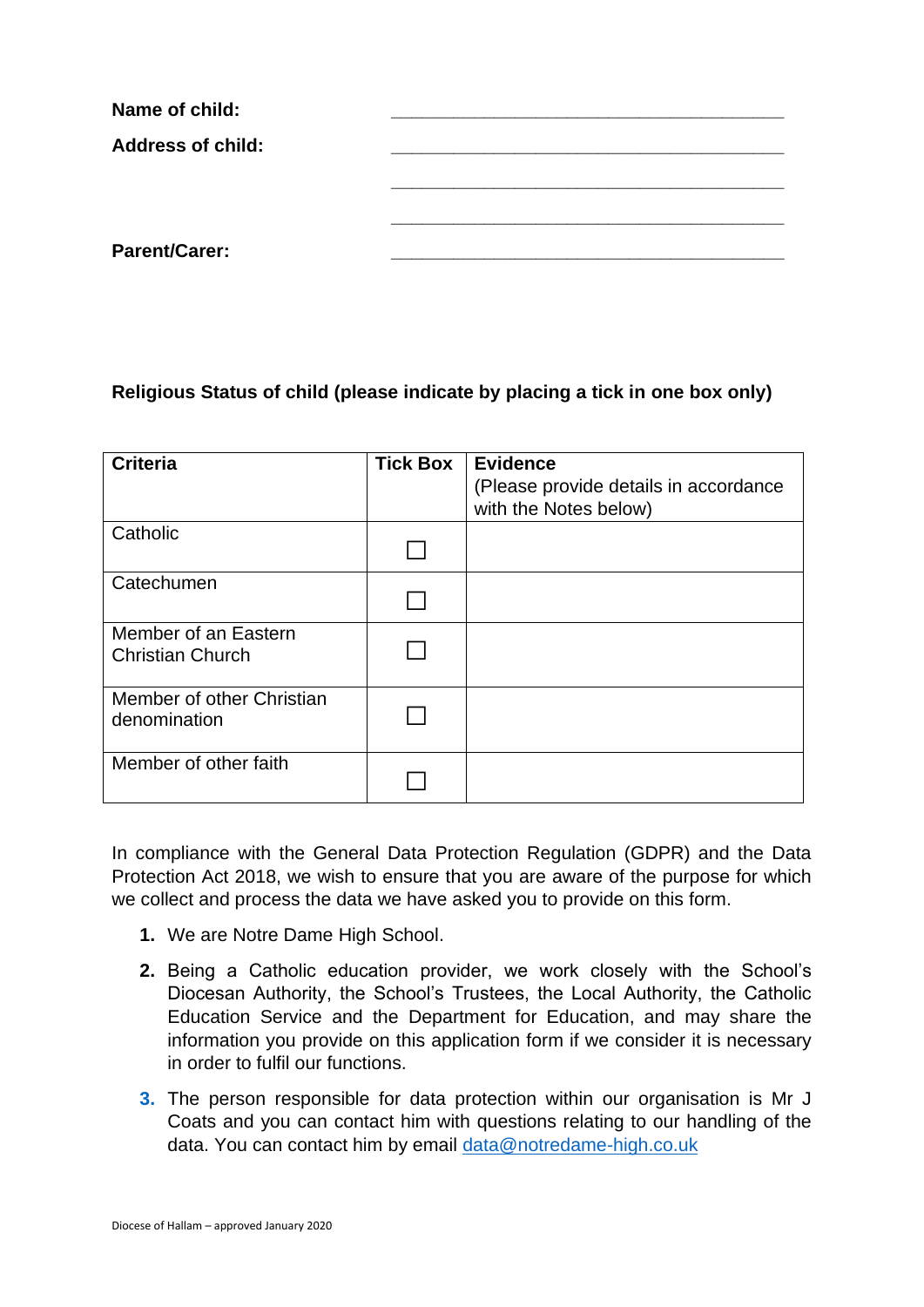| Name of child:           |  |
|--------------------------|--|
| <b>Address of child:</b> |  |
|                          |  |
|                          |  |
| <b>Parent/Carer:</b>     |  |

## **Religious Status of child (please indicate by placing a tick in one box only)**

| <b>Criteria</b>                                 | <b>Tick Box</b> | <b>Evidence</b><br>(Please provide details in accordance |
|-------------------------------------------------|-----------------|----------------------------------------------------------|
|                                                 |                 | with the Notes below)                                    |
| Catholic                                        |                 |                                                          |
| Catechumen                                      |                 |                                                          |
| Member of an Eastern<br><b>Christian Church</b> |                 |                                                          |
| Member of other Christian<br>denomination       |                 |                                                          |
| Member of other faith                           |                 |                                                          |

In compliance with the General Data Protection Regulation (GDPR) and the Data Protection Act 2018, we wish to ensure that you are aware of the purpose for which we collect and process the data we have asked you to provide on this form.

- **1.** We are Notre Dame High School.
- **2.** Being a Catholic education provider, we work closely with the School's Diocesan Authority, the School's Trustees, the Local Authority, the Catholic Education Service and the Department for Education, and may share the information you provide on this application form if we consider it is necessary in order to fulfil our functions.
- **3.** The person responsible for data protection within our organisation is Mr J Coats and you can contact him with questions relating to our handling of the data. You can contact him by email [data@notredame-high.co.uk](mailto:data@notredame-high.co.uk)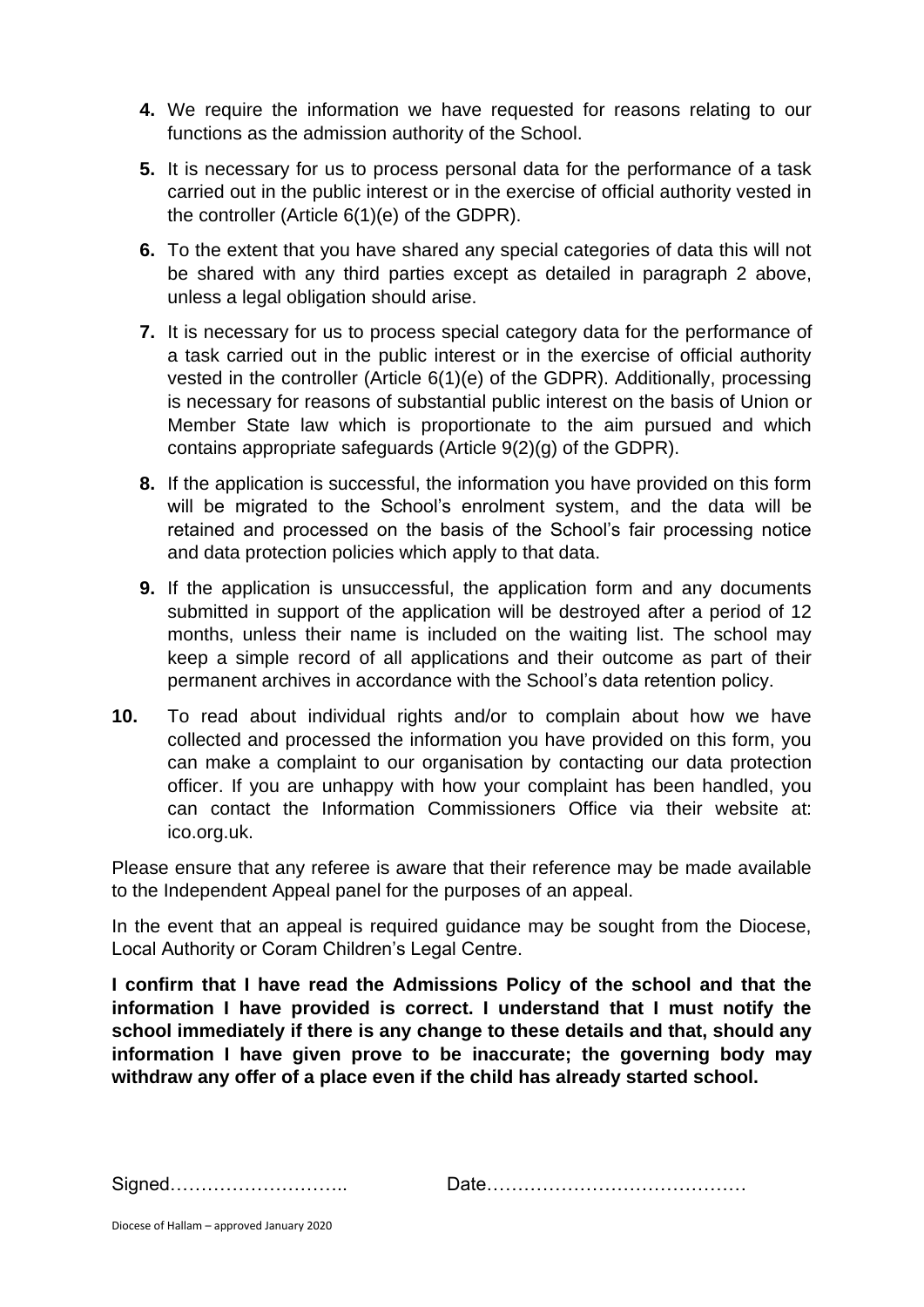- **4.** We require the information we have requested for reasons relating to our functions as the admission authority of the School.
- **5.** It is necessary for us to process personal data for the performance of a task carried out in the public interest or in the exercise of official authority vested in the controller (Article 6(1)(e) of the GDPR).
- **6.** To the extent that you have shared any special categories of data this will not be shared with any third parties except as detailed in paragraph 2 above, unless a legal obligation should arise.
- **7.** It is necessary for us to process special category data for the performance of a task carried out in the public interest or in the exercise of official authority vested in the controller (Article 6(1)(e) of the GDPR). Additionally, processing is necessary for reasons of substantial public interest on the basis of Union or Member State law which is proportionate to the aim pursued and which contains appropriate safeguards (Article 9(2)(g) of the GDPR).
- **8.** If the application is successful, the information you have provided on this form will be migrated to the School's enrolment system, and the data will be retained and processed on the basis of the School's fair processing notice and data protection policies which apply to that data.
- **9.** If the application is unsuccessful, the application form and any documents submitted in support of the application will be destroyed after a period of 12 months, unless their name is included on the waiting list. The school may keep a simple record of all applications and their outcome as part of their permanent archives in accordance with the School's data retention policy.
- **10.** To read about individual rights and/or to complain about how we have collected and processed the information you have provided on this form, you can make a complaint to our organisation by contacting our data protection officer. If you are unhappy with how your complaint has been handled, you can contact the Information Commissioners Office via their website at: ico.org.uk.

Please ensure that any referee is aware that their reference may be made available to the Independent Appeal panel for the purposes of an appeal.

In the event that an appeal is required quidance may be sought from the Diocese, Local Authority or Coram Children's Legal Centre.

**I confirm that I have read the Admissions Policy of the school and that the information I have provided is correct. I understand that I must notify the school immediately if there is any change to these details and that, should any information I have given prove to be inaccurate; the governing body may withdraw any offer of a place even if the child has already started school.**

| Signed |  |
|--------|--|
|--------|--|

Signed……………………….. Date……………………………………